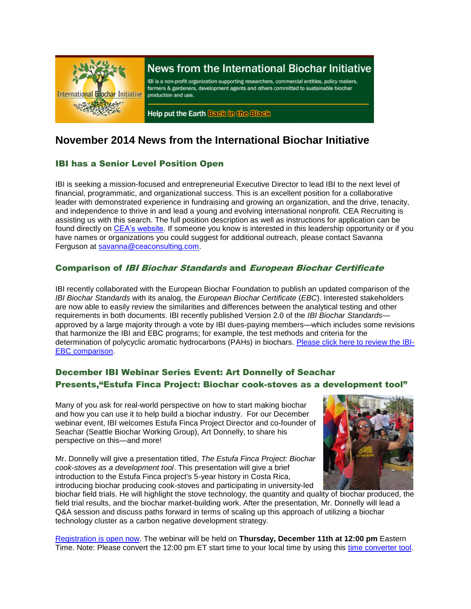

# News from the International Biochar Initiative

IBI is a non-profit organization supporting researchers, commercial entities, policy makers, farmers & gardeners, development agents and others committed to sustainable biochar production and use.

Help put the Earth Back in the Black

# **November 2014 News from the International Biochar Initiative**

# IBI has a Senior Level Position Open

IBI is seeking a mission-focused and entrepreneurial Executive Director to lead IBI to the next level of financial, programmatic, and organizational success. This is an excellent position for a collaborative leader with demonstrated experience in fundraising and growing an organization, and the drive, tenacity, and independence to thrive in and lead a young and evolving international nonprofit. CEA Recruiting is assisting us with this search. The full position description as well as instructions for application can be found directly on [CEA's website.](http://job.ceaconsulting.com/jobs/executive-director-united-states-flexible-26979) If someone you know is interested in this leadership opportunity or if you have names or organizations you could suggest for additional outreach, please contact Savanna Ferguson at [savanna@ceaconsulting.com.](mailto:savanna@ceaconsulting.com)

# Comparison of IBI Biochar Standards and European Biochar Certificate

IBI recently collaborated with the European Biochar Foundation to publish an updated comparison of the *IBI Biochar Standards* with its analog, the *European Biochar Certificate* (*EBC*). Interested stakeholders are now able to easily review the similarities and differences between the analytical testing and other requirements in both documents. IBI recently published Version 2.0 of the *IBI Biochar Standards* approved by a large majority through a vote by IBI dues-paying members—which includes some revisions that harmonize the IBI and EBC programs; for example, the test methods and criteria for the determination of polycyclic aromatic hydrocarbons (PAHs) in biochars. [Please click here to review the IBI-](http://www.biochar-international.org/sites/default/files/IBI-EBC_comparison_Oct2014.pdf)[EBC comparison.](http://www.biochar-international.org/sites/default/files/IBI-EBC_comparison_Oct2014.pdf)

# December IBI Webinar Series Event: Art Donnelly of Seachar Presents,"Estufa Finca Project: Biochar cook-stoves as a development tool"

Many of you ask for real-world perspective on how to start making biochar and how you can use it to help build a biochar industry. For our December webinar event, IBI welcomes Estufa Finca Project Director and co-founder of Seachar (Seattle Biochar Working Group), Art Donnelly, to share his perspective on this—and more!

Mr. Donnelly will give a presentation titled, *The Estufa Finca Project: Biochar cook-stoves as a development tool*. This presentation will give a brief introduction to the Estufa Finca project's 5-year history in Costa Rica, introducing biochar producing cook-stoves and participating in university-led



biochar field trials. He will highlight the stove technology, the quantity and quality of biochar produced, the field trial results, and the biochar market-building work. After the presentation, Mr. Donnelly will lead a Q&A session and discuss paths forward in terms of scaling up this approach of utilizing a biochar technology cluster as a carbon negative development strategy.

[Registration is open now.](https://attendee.gotowebinar.com/register/486352838432205825) The webinar will be held on **Thursday, December 11th at 12:00 pm** Eastern Time. Note: Please convert the 12:00 pm ET start time to your local time by using this [time converter tool.](http://ibi.memberclicks.net/message2/link/9f932eb1-fbc1-4a71-a6a7-9aa00a1fa748/2)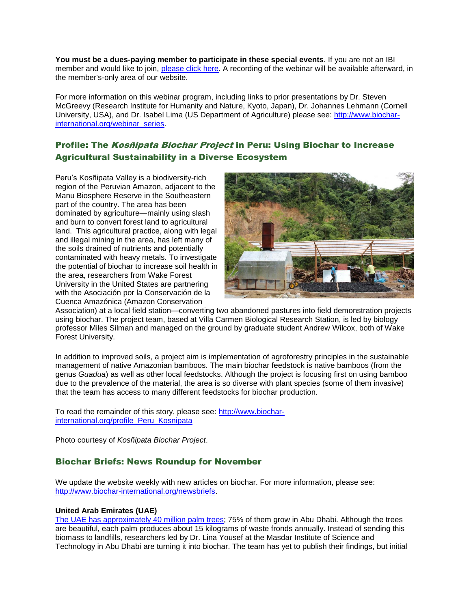**You must be a dues-paying member to participate in these special events**. If you are not an IBI member and would like to join, [please click here.](http://www.biochar-international.org/join) A recording of the webinar will be available afterward, in the member's-only area of our website.

For more information on this webinar program, including links to prior presentations by Dr. Steven McGreevy (Research Institute for Humanity and Nature, Kyoto, Japan), Dr. Johannes Lehmann (Cornell University, USA), and Dr. Isabel Lima (US Department of Agriculture) please see: [http://www.biochar](http://ibi.memberclicks.net/message2/link/9f932eb1-fbc1-4a71-a6a7-9aa00a1fa748/3)[international.org/webinar\\_series.](http://ibi.memberclicks.net/message2/link/9f932eb1-fbc1-4a71-a6a7-9aa00a1fa748/3)

# Profile: The Kosñipata Biochar Project in Peru: Using Biochar to Increase Agricultural Sustainability in a Diverse Ecosystem

Peru's Kosñipata Valley is a biodiversity-rich region of the Peruvian Amazon, adjacent to the Manu Biosphere Reserve in the Southeastern part of the country. The area has been dominated by agriculture—mainly using slash and burn to convert forest land to agricultural land. This agricultural practice, along with legal and illegal mining in the area, has left many of the soils drained of nutrients and potentially contaminated with heavy metals. To investigate the potential of biochar to increase soil health in the area, researchers from Wake Forest University in the United States are partnering with the Asociación por la Conservación de la Cuenca Amazónica (Amazon Conservation



Association) at a local field station—converting two abandoned pastures into field demonstration projects using biochar. The project team, based at Villa Carmen Biological Research Station, is led by biology professor Miles Silman and managed on the ground by graduate student Andrew Wilcox, both of Wake Forest University.

In addition to improved soils, a project aim is implementation of agroforestry principles in the sustainable management of native Amazonian bamboos. The main biochar feedstock is native bamboos (from the genus *Guadua*) as well as other local feedstocks. Although the project is focusing first on using bamboo due to the prevalence of the material, the area is so diverse with plant species (some of them invasive) that the team has access to many different feedstocks for biochar production.

To read the remainder of this story, please see: [http://www.biochar](http://www.biochar-international.org/profile_Peru_Kosnipata)[international.org/profile\\_Peru\\_Kosnipata](http://www.biochar-international.org/profile_Peru_Kosnipata)

Photo courtesy of *Kosñipata Biochar Project*.

## Biochar Briefs: News Roundup for November

We update the website weekly with new articles on biochar. For more information, please see: [http://www.biochar-international.org/newsbriefs.](http://ibi.memberclicks.net/message/urlRedir?id=61106&recip=2037fe9e-203a-4b7f-af3c-ac8774c71cbd)

#### **United Arab Emirates (UAE)**

[The UAE has approximately 40 million palm trees;](http://www.thenational.ae/from-palm-waste-to-crop-yields) 75% of them grow in Abu Dhabi. Although the trees are beautiful, each palm produces about 15 kilograms of waste fronds annually. Instead of sending this biomass to landfills, researchers led by Dr. Lina Yousef at the Masdar Institute of Science and Technology in Abu Dhabi are turning it into biochar. The team has yet to publish their findings, but initial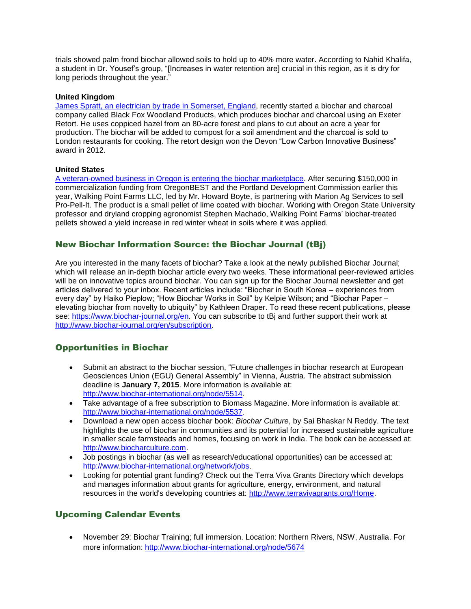trials showed palm frond biochar allowed soils to hold up to 40% more water. According to Nahid Khalifa, a student in Dr. Yousef's group, "[Increases in water retention are] crucial in this region, as it is dry for long periods throughout the year."

#### **United Kingdom**

[James Spratt, an electrician by trade in Somerset,](http://www.romseyadvertiser.co.uk/business/11563557.Who_said_the_old_ways_are_the_best_/) England, recently started a biochar and charcoal company called Black Fox Woodland Products, which produces biochar and charcoal using an Exeter Retort. He uses coppiced hazel from an 80-acre forest and plans to cut about an acre a year for production. The biochar will be added to compost for a soil amendment and the charcoal is sold to London restaurants for cooking. The retort design won the Devon "Low Carbon Innovative Business" award in 2012.

#### **United States**

[A veteran-owned business in Oregon is entering the biochar marketplace.](http://www.bizjournals.com/portland/blog/sbo/2014/11/tigard-agritech-startup-ready-to-roll-on-biochar.html) After securing \$150,000 in commercialization funding from OregonBEST and the Portland Development Commission earlier this year, Walking Point Farms LLC, led by Mr. Howard Boyte, is partnering with Marion Ag Services to sell Pro-Pell-It. The product is a small pellet of lime coated with biochar. Working with Oregon State University professor and dryland cropping agronomist Stephen Machado, Walking Point Farms' biochar-treated pellets showed a yield increase in red winter wheat in soils where it was applied.

### New Biochar Information Source: the Biochar Journal (tBj)

Are you interested in the many facets of biochar? Take a look at the newly published Biochar Journal; which will release an in-depth biochar article every two weeks. These informational peer-reviewed articles will be on innovative topics around biochar. You can sign up for the Biochar Journal newsletter and get articles delivered to your inbox. Recent articles include: "Biochar in South Korea – experiences from every day" by Haiko Pieplow; "How Biochar Works in Soil" by Kelpie Wilson; and "Biochar Paper – elevating biochar from novelty to ubiquity" by Kathleen Draper. To read these recent publications, please see: [https://www.biochar-journal.org/en.](https://www.biochar-journal.org/en) You can subscribe to tBj and further support their work at [http://www.biochar-journal.org/en/subscription.](http://www.biochar-journal.org/en/subscription)

## Opportunities in Biochar

- Submit an abstract to the biochar session, "Future challenges in biochar research at European Geosciences Union (EGU) General Assembly" in Vienna, Austria. The abstract submission deadline is **January 7, 2015**. More information is available at: [http://www.biochar-international.org/node/5514.](http://www.biochar-international.org/node/5514)
- Take advantage of a free subscription to Biomass Magazine. More information is available at: [http://www.biochar-international.org/node/5537.](http://www.biochar-international.org/node/5537)
- Download a new open access biochar book: *Biochar Culture*, by Sai Bhaskar N Reddy. The text highlights the use of biochar in communities and its potential for increased sustainable agriculture in smaller scale farmsteads and homes, focusing on work in India. The book can be accessed at: [http://www.biocharculture.com.](http://www.biocharculture.com/)
- Job postings in biochar (as well as research/educational opportunities) can be accessed at: [http://www.biochar-international.org/network/jobs.](http://ibi.memberclicks.net/message/urlRedir?id=61120&recip=2037fe9e-203a-4b7f-af3c-ac8774c71cbd)
- Looking for potential grant funding? Check out the Terra Viva Grants Directory which develops and manages information about grants for agriculture, energy, environment, and natural resources in the world's developing countries at: [http://www.terravivagrants.org/Home.](http://www.terravivagrants.org/Home)

## Upcoming Calendar Events

 November 29: Biochar Training; full immersion. Location: Northern Rivers, NSW, Australia. For more information:<http://www.biochar-international.org/node/5674>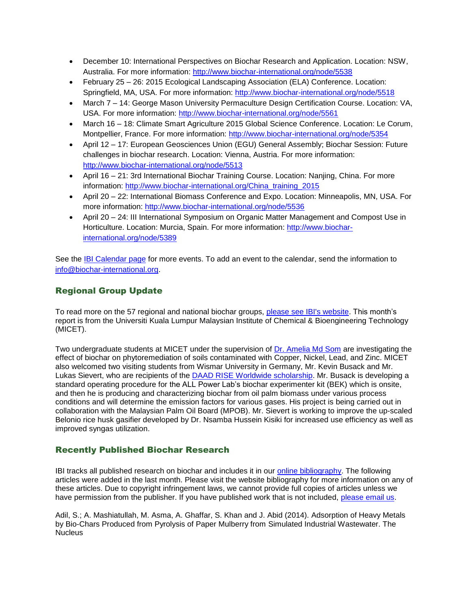- December 10: International Perspectives on Biochar Research and Application. Location: NSW, Australia. For more information:<http://www.biochar-international.org/node/5538>
- February 25 26: 2015 Ecological Landscaping Association (ELA) Conference. Location: Springfield, MA, USA. For more information:<http://www.biochar-international.org/node/5518>
- March 7 14: George Mason University Permaculture Design Certification Course. Location: VA, USA. For more information:<http://www.biochar-international.org/node/5561>
- March 16 18: Climate Smart Agriculture 2015 Global Science Conference. Location: Le Corum, Montpellier, France. For more information:<http://www.biochar-international.org/node/5354>
- April 12 17: European Geosciences Union (EGU) General Assembly; Biochar Session: Future challenges in biochar research. Location: Vienna, Austria. For more information: <http://www.biochar-international.org/node/5513>
- April 16 21: 3rd International Biochar Training Course. Location: Nanjing, China. For more information: [http://www.biochar-international.org/China\\_training\\_2015](http://www.biochar-international.org/China_training_2015)
- April 20 22: International Biomass Conference and Expo. Location: Minneapolis, MN, USA. For more information:<http://www.biochar-international.org/node/5536>
- April 20 24: III International Symposium on Organic Matter Management and Compost Use in Horticulture. Location: Murcia, Spain. For more information: [http://www.biochar](http://www.biochar-international.org/node/5389)[international.org/node/5389](http://www.biochar-international.org/node/5389)

See the [IBI Calendar page](http://ibi.memberclicks.net/message/urlRedir?id=61131&recip=2037fe9e-203a-4b7f-af3c-ac8774c71cbd) for more events. To add an event to the calendar, send the information to [info@biochar-international.org.](http://ibi.memberclicks.net/message/urlRedir?id=61132&recip=2037fe9e-203a-4b7f-af3c-ac8774c71cbd)

## Regional Group Update

To read more on the 57 regional and national biochar groups, [please see IBI's website.](http://www.biochar-international.org/network/communities) This month's report is from the Universiti Kuala Lumpur Malaysian Institute of Chemical & Bioengineering Technology (MICET).

Two undergraduate students at MICET under the supervision of Dr. [Amelia Md Som](http://www.micet.unikl.edu.my/environment/index.php/about-us/staff/academician) are investigating the effect of biochar on phytoremediation of soils contaminated with Copper, Nickel, Lead, and Zinc. MICET also welcomed two visiting students from Wismar University in Germany, Mr. Kevin Busack and Mr. Lukas Sievert, who are recipients of the [DAAD RISE Worldwide scholarship.](https://www.daad.de/rise-weltweit/en/) Mr. Busack is developing a standard operating procedure for the ALL Power Lab's biochar experimenter kit (BEK) which is onsite, and then he is producing and characterizing biochar from oil palm biomass under various process conditions and will determine the emission factors for various gases. His project is being carried out in collaboration with the Malaysian Palm Oil Board (MPOB). Mr. Sievert is working to improve the up-scaled Belonio rice husk gasifier developed by Dr. Nsamba Hussein Kisiki for increased use efficiency as well as improved syngas utilization.

## Recently Published Biochar Research

IBI tracks all published research on biochar and includes it in our [online bibliography.](http://ibi.memberclicks.net/message/urlRedir?id=24751&recip=be7c7021-8bab-4aa7-a274-1c95dcc834ca) The following articles were added in the last month. Please visit the website bibliography for more information on any of these articles. Due to copyright infringement laws, we cannot provide full copies of articles unless we have permission from the publisher. If you have published work that is not included, [please email us.](http://ibi.memberclicks.net/message/urlRedir?id=24748&recip=be7c7021-8bab-4aa7-a274-1c95dcc834ca)

Adil, S.; A. Mashiatullah, M. Asma, A. Ghaffar, S. Khan and J. Abid (2014). Adsorption of Heavy Metals by Bio-Chars Produced from Pyrolysis of Paper Mulberry from Simulated Industrial Wastewater. The Nucleus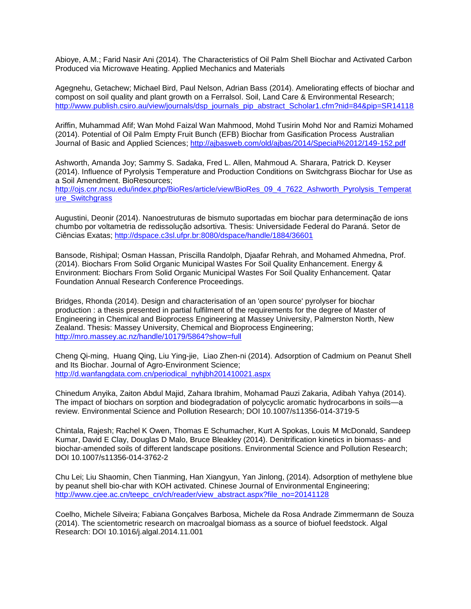Abioye, A.M.; Farid Nasir Ani (2014). The Characteristics of Oil Palm Shell Biochar and Activated Carbon Produced via Microwave Heating. Applied Mechanics and Materials

Agegnehu, Getachew; Michael Bird, Paul Nelson, Adrian Bass (2014). Ameliorating effects of biochar and compost on soil quality and plant growth on a Ferralsol. Soil, Land Care & Environmental Research; [http://www.publish.csiro.au/view/journals/dsp\\_journals\\_pip\\_abstract\\_Scholar1.cfm?nid=84&pip=SR14118](http://www.publish.csiro.au/view/journals/dsp_journals_pip_abstract_Scholar1.cfm?nid=84&pip=SR14118)

Ariffin, Muhammad Afif; Wan Mohd Faizal Wan Mahmood, Mohd Tusirin Mohd Nor and Ramizi Mohamed (2014). Potential of Oil Palm Empty Fruit Bunch (EFB) Biochar from Gasification Process Australian Journal of Basic and Applied Sciences;<http://ajbasweb.com/old/ajbas/2014/Special%2012/149-152.pdf>

Ashworth, Amanda Joy; Sammy S. Sadaka, Fred L. Allen, Mahmoud A. Sharara, Patrick D. Keyser (2014). Influence of Pyrolysis Temperature and Production Conditions on Switchgrass Biochar for Use as a Soil Amendment. BioResources;

[http://ojs.cnr.ncsu.edu/index.php/BioRes/article/view/BioRes\\_09\\_4\\_7622\\_Ashworth\\_Pyrolysis\\_Temperat](http://ojs.cnr.ncsu.edu/index.php/BioRes/article/view/BioRes_09_4_7622_Ashworth_Pyrolysis_Temperature_Switchgrass) [ure\\_Switchgrass](http://ojs.cnr.ncsu.edu/index.php/BioRes/article/view/BioRes_09_4_7622_Ashworth_Pyrolysis_Temperature_Switchgrass)

Augustini, Deonir (2014). Nanoestruturas de bismuto suportadas em biochar para determinação de ions chumbo por voltametria de redissolução adsortiva. Thesis: Universidade Federal do Paraná. Setor de Ciências Exatas;<http://dspace.c3sl.ufpr.br:8080/dspace/handle/1884/36601>

Bansode, Rishipal; Osman Hassan, Priscilla Randolph, Djaafar Rehrah, and Mohamed Ahmedna, Prof. (2014). Biochars From Solid Organic Municipal Wastes For Soil Quality Enhancement. Energy & Environment: Biochars From Solid Organic Municipal Wastes For Soil Quality Enhancement. Qatar Foundation Annual Research Conference Proceedings.

Bridges, Rhonda (2014). Design and characterisation of an 'open source' pyrolyser for biochar production : a thesis presented in partial fulfilment of the requirements for the degree of Master of Engineering in Chemical and Bioprocess Engineering at Massey University, Palmerston North, New Zealand. Thesis: Massey University, Chemical and Bioprocess Engineering; <http://mro.massey.ac.nz/handle/10179/5864?show=full>

Cheng Qi-ming, Huang Qing, Liu Ying-jie, Liao Zhen-ni (2014). Adsorption of Cadmium on Peanut Shell and Its Biochar. Journal of Agro-Environment Science; [http://d.wanfangdata.com.cn/periodical\\_nyhjbh201410021.aspx](http://d.wanfangdata.com.cn/periodical_nyhjbh201410021.aspx)

Chinedum Anyika, Zaiton Abdul Majid, Zahara Ibrahim, Mohamad Pauzi Zakaria, Adibah Yahya (2014). The impact of biochars on sorption and biodegradation of polycyclic aromatic hydrocarbons in soils—a review. Environmental Science and Pollution Research; DOI 10.1007/s11356-014-3719-5

Chintala, Rajesh; Rachel K Owen, Thomas E Schumacher, Kurt A Spokas, Louis M McDonald, Sandeep Kumar, David E Clay, Douglas D Malo, Bruce Bleakley (2014). Denitrification kinetics in biomass- and biochar-amended soils of different landscape positions. Environmental Science and Pollution Research; DOI 10.1007/s11356-014-3762-2

Chu Lei; Liu Shaomin, Chen Tianming, Han Xiangyun, Yan Jinlong, (2014). Adsorption of methylene blue by peanut shell bio-char with KOH activated. Chinese Journal of Environmental Engineering; [http://www.cjee.ac.cn/teepc\\_cn/ch/reader/view\\_abstract.aspx?file\\_no=20141128](http://www.cjee.ac.cn/teepc_cn/ch/reader/view_abstract.aspx?file_no=20141128)

Coelho, Michele Silveira; Fabiana Gonçalves Barbosa, Michele da Rosa Andrade Zimmermann de Souza (2014). The scientometric research on macroalgal biomass as a source of biofuel feedstock. Algal Research: DOI 10.1016/j.algal.2014.11.001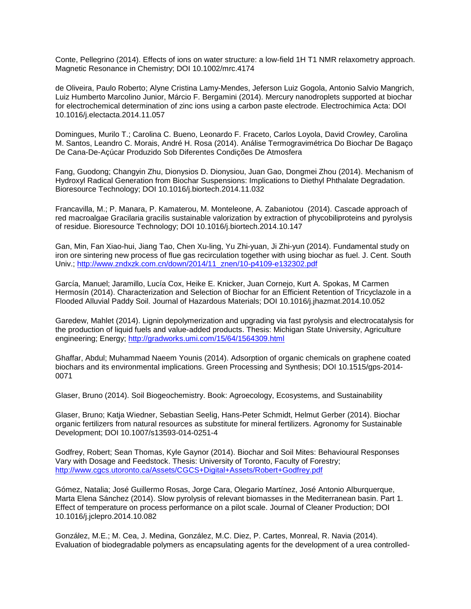Conte, Pellegrino (2014). Effects of ions on water structure: a low-field 1H T1 NMR relaxometry approach. Magnetic Resonance in Chemistry; DOI 10.1002/mrc.4174

de Oliveira, Paulo Roberto; Alyne Cristina Lamy-Mendes, Jeferson Luiz Gogola, Antonio Salvio Mangrich, Luiz Humberto Marcolino Junior, Márcio F. Bergamini (2014). Mercury nanodroplets supported at biochar for electrochemical determination of zinc ions using a carbon paste electrode. Electrochimica Acta: DOI 10.1016/j.electacta.2014.11.057

Domingues, Murilo T.; Carolina C. Bueno, Leonardo F. Fraceto, Carlos Loyola, David Crowley, Carolina M. Santos, Leandro C. Morais, André H. Rosa (2014). Análise Termogravimétrica Do Biochar De Bagaço De Cana-De-Açúcar Produzido Sob Diferentes Condições De Atmosfera

Fang, Guodong; Changyin Zhu, Dionysios D. Dionysiou, Juan Gao, Dongmei Zhou (2014). Mechanism of Hydroxyl Radical Generation from Biochar Suspensions: Implications to Diethyl Phthalate Degradation. Bioresource Technology; DOI 10.1016/j.biortech.2014.11.032

Francavilla, M.; P. Manara, P. Kamaterou, M. Monteleone, A. Zabaniotou (2014). Cascade approach of red macroalgae Gracilaria gracilis sustainable valorization by extraction of phycobiliproteins and pyrolysis of residue. Bioresource Technology; DOI 10.1016/j.biortech.2014.10.147

Gan, Min, Fan Xiao-hui, Jiang Tao, Chen Xu-ling, Yu Zhi-yuan, Ji Zhi-yun (2014). Fundamental study on iron ore sintering new process of flue gas recirculation together with using biochar as fuel. J. Cent. South Univ.; [http://www.zndxzk.com.cn/down/2014/11\\_znen/10-p4109-e132302.pdf](http://www.zndxzk.com.cn/down/2014/11_znen/10-p4109-e132302.pdf)

García, Manuel; Jaramillo, Lucía Cox, Heike E. Knicker, Juan Cornejo, Kurt A. Spokas, M Carmen Hermosín (2014). Characterization and Selection of Biochar for an Efficient Retention of Tricyclazole in a Flooded Alluvial Paddy Soil. Journal of Hazardous Materials; DOI 10.1016/j.jhazmat.2014.10.052

Garedew, Mahlet (2014). Lignin depolymerization and upgrading via fast pyrolysis and electrocatalysis for the production of liquid fuels and value-added products. Thesis: Michigan State University, Agriculture engineering; Energy;<http://gradworks.umi.com/15/64/1564309.html>

Ghaffar, Abdul; Muhammad Naeem Younis (2014). Adsorption of organic chemicals on graphene coated biochars and its environmental implications. Green Processing and Synthesis; DOI 10.1515/gps-2014- 0071

Glaser, Bruno (2014). Soil Biogeochemistry. Book: Agroecology, Ecosystems, and Sustainability

Glaser, Bruno; Katja Wiedner, Sebastian Seelig, Hans-Peter Schmidt, Helmut Gerber (2014). Biochar organic fertilizers from natural resources as substitute for mineral fertilizers. Agronomy for Sustainable Development; DOI 10.1007/s13593-014-0251-4

Godfrey, Robert; Sean Thomas, Kyle Gaynor (2014). Biochar and Soil Mites: Behavioural Responses Vary with Dosage and Feedstock. Thesis: University of Toronto, Faculty of Forestry; <http://www.cgcs.utoronto.ca/Assets/CGCS+Digital+Assets/Robert+Godfrey.pdf>

Gómez, Natalia; José Guillermo Rosas, Jorge Cara, Olegario Martínez, José Antonio Alburquerque, Marta Elena Sánchez (2014). Slow pyrolysis of relevant biomasses in the Mediterranean basin. Part 1. Effect of temperature on process performance on a pilot scale. Journal of Cleaner Production; DOI 10.1016/j.jclepro.2014.10.082

González, M.E.; M. Cea, J. Medina, González, M.C. Diez, P. Cartes, Monreal, R. Navia (2014). Evaluation of biodegradable polymers as encapsulating agents for the development of a urea controlled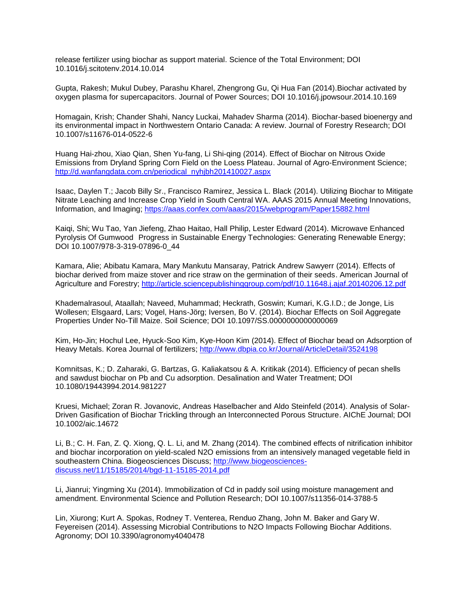release fertilizer using biochar as support material. Science of the Total Environment; DOI 10.1016/j.scitotenv.2014.10.014

Gupta, Rakesh; Mukul Dubey, Parashu Kharel, Zhengrong Gu, Qi Hua Fan (2014).Biochar activated by oxygen plasma for supercapacitors. Journal of Power Sources; DOI 10.1016/j.jpowsour.2014.10.169

Homagain, Krish; Chander Shahi, Nancy Luckai, Mahadev Sharma (2014). Biochar-based bioenergy and its environmental impact in Northwestern Ontario Canada: A review. Journal of Forestry Research; DOI 10.1007/s11676-014-0522-6

Huang Hai-zhou, Xiao Qian, Shen Yu-fang, Li Shi-qing (2014). Effect of Biochar on Nitrous Oxide Emissions from Dryland Spring Corn Field on the Loess Plateau. Journal of Agro-Environment Science; [http://d.wanfangdata.com.cn/periodical\\_nyhjbh201410027.aspx](http://d.wanfangdata.com.cn/periodical_nyhjbh201410027.aspx)

Isaac, Daylen T.; Jacob Billy Sr., Francisco Ramirez, Jessica L. Black (2014). Utilizing Biochar to Mitigate Nitrate Leaching and Increase Crop Yield in South Central WA. AAAS 2015 Annual Meeting Innovations, Information, and Imaging;<https://aaas.confex.com/aaas/2015/webprogram/Paper15882.html>

Kaiqi, Shi; Wu Tao, Yan Jiefeng, Zhao Haitao, Hall Philip, Lester Edward (2014). Microwave Enhanced Pyrolysis Of Gumwood Progress in Sustainable Energy Technologies: Generating Renewable Energy; DOI 10.1007/978-3-319-07896-0\_44

Kamara, Alie; Abibatu Kamara, Mary Mankutu Mansaray, Patrick Andrew Sawyerr (2014). Effects of biochar derived from maize stover and rice straw on the germination of their seeds. American Journal of Agriculture and Forestry;<http://article.sciencepublishinggroup.com/pdf/10.11648.j.ajaf.20140206.12.pdf>

Khademalrasoul, Ataallah; Naveed, Muhammad; Heckrath, Goswin; Kumari, K.G.I.D.; de Jonge, Lis Wollesen; Elsgaard, Lars; Vogel, Hans-Jörg; Iversen, Bo V. (2014). Biochar Effects on Soil Aggregate Properties Under No-Till Maize. Soil Science; DOI 10.1097/SS.0000000000000069

Kim, Ho-Jin; Hochul Lee, Hyuck-Soo Kim, Kye-Hoon Kim (2014). Effect of Biochar bead on Adsorption of Heavy Metals. Korea Journal of fertilizers;<http://www.dbpia.co.kr/Journal/ArticleDetail/3524198>

Komnitsas, K.; D. Zaharaki, G. Bartzas, G. Kaliakatsou & A. Kritikak (2014). Efficiency of pecan shells and sawdust biochar on Pb and Cu adsorption. Desalination and Water Treatment; DOI 10.1080/19443994.2014.981227

Kruesi, Michael; Zoran R. Jovanovic, Andreas Haselbacher and Aldo Steinfeld (2014). Analysis of Solar-Driven Gasification of Biochar Trickling through an Interconnected Porous Structure. AIChE Journal; DOI 10.1002/aic.14672

Li, B.; C. H. Fan, Z. Q. Xiong, Q. L. Li, and M. Zhang (2014). The combined effects of nitrification inhibitor and biochar incorporation on yield-scaled N2O emissions from an intensively managed vegetable field in southeastern China. Biogeosciences Discuss; [http://www.biogeosciences](http://www.biogeosciences-discuss.net/11/15185/2014/bgd-11-15185-2014.pdf)[discuss.net/11/15185/2014/bgd-11-15185-2014.pdf](http://www.biogeosciences-discuss.net/11/15185/2014/bgd-11-15185-2014.pdf)

Li, Jianrui; Yingming Xu (2014). Immobilization of Cd in paddy soil using moisture management and amendment. Environmental Science and Pollution Research; DOI 10.1007/s11356-014-3788-5

Lin, Xiurong; Kurt A. Spokas, Rodney T. Venterea, Renduo Zhang, John M. Baker and Gary W. Feyereisen (2014). Assessing Microbial Contributions to N2O Impacts Following Biochar Additions. Agronomy; DOI 10.3390/agronomy4040478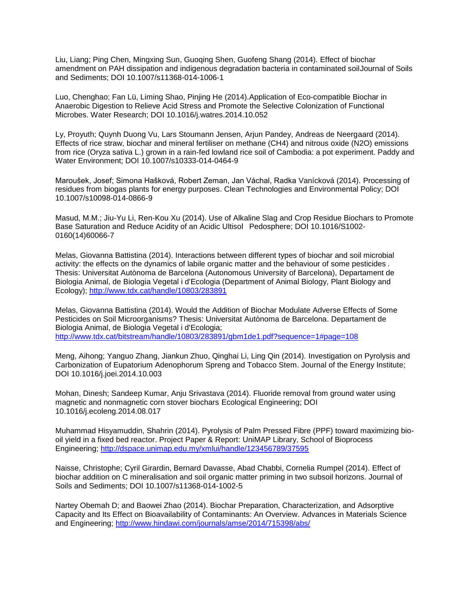Liu, Liang; Ping Chen, Mingxing Sun, Guoqing Shen, Guofeng Shang (2014). Effect of biochar amendment on PAH dissipation and indigenous degradation bacteria in contaminated soilJournal of Soils and Sediments; DOI 10.1007/s11368-014-1006-1

Luo, Chenghao; Fan Lü, Liming Shao, Pinjing He (2014).Application of Eco-compatible Biochar in Anaerobic Digestion to Relieve Acid Stress and Promote the Selective Colonization of Functional Microbes. Water Research; DOI 10.1016/j.watres.2014.10.052

Ly, Proyuth; Quynh Duong Vu, Lars Stoumann Jensen, Arjun Pandey, Andreas de Neergaard (2014). Effects of rice straw, biochar and mineral fertiliser on methane (CH4) and nitrous oxide (N2O) emissions from rice (Oryza sativa L.) grown in a rain-fed lowland rice soil of Cambodia: a pot experiment. Paddy and Water Environment; DOI 10.1007/s10333-014-0464-9

Maroušek, Josef; Simona Hašková, Robert Zeman, Jan Váchal, Radka Vanícková (2014). Processing of residues from biogas plants for energy purposes. Clean Technologies and Environmental Policy; DOI 10.1007/s10098-014-0866-9

Masud, M.M.; Jiu-Yu Li, Ren-Kou Xu (2014). Use of Alkaline Slag and Crop Residue Biochars to Promote Base Saturation and Reduce Acidity of an Acidic Ultisol Pedosphere; DOI 10.1016/S1002- 0160(14)60066-7

Melas, Giovanna Battistina (2014). Interactions between different types of biochar and soil microbial activity: the effects on the dynamics of labile organic matter and the behaviour of some pesticides . Thesis: Universitat Autònoma de Barcelona (Autonomous University of Barcelona), Departament de Biologia Animal, de Biologia Vegetal i d'Ecologia (Department of Animal Biology, Plant Biology and Ecology);<http://www.tdx.cat/handle/10803/283891>

Melas, Giovanna Battistina (2014). Would the Addition of Biochar Modulate Adverse Effects of Some Pesticides on Soil Microorganisms? Thesis: Universitat Autònoma de Barcelona. Departament de Biologia Animal, de Biologia Vegetal i d'Ecologia; <http://www.tdx.cat/bitstream/handle/10803/283891/gbm1de1.pdf?sequence=1#page=108>

Meng, Aihong; Yanguo Zhang, Jiankun Zhuo, Qinghai Li, Ling Qin (2014). Investigation on Pyrolysis and Carbonization of Eupatorium Adenophorum Spreng and Tobacco Stem. Journal of the Energy Institute; DOI 10.1016/j.joei.2014.10.003

Mohan, Dinesh; Sandeep Kumar, Anju Srivastava (2014). Fluoride removal from ground water using magnetic and nonmagnetic corn stover biochars Ecological Engineering; DOI 10.1016/j.ecoleng.2014.08.017

Muhammad Hisyamuddin, Shahrin (2014). Pyrolysis of Palm Pressed Fibre (PPF) toward maximizing biooil yield in a fixed bed reactor. Project Paper & Report: UniMAP Library, School of Bioprocess Engineering;<http://dspace.unimap.edu.my/xmlui/handle/123456789/37595>

Naisse, Christophe; Cyril Girardin, Bernard Davasse, Abad Chabbi, Cornelia Rumpel (2014). Effect of biochar addition on C mineralisation and soil organic matter priming in two subsoil horizons. Journal of Soils and Sediments; DOI 10.1007/s11368-014-1002-5

Nartey Obemah D; and Baowei Zhao (2014). Biochar Preparation, Characterization, and Adsorptive Capacity and Its Effect on Bioavailability of Contaminants: An Overview. Advances in Materials Science and Engineering;<http://www.hindawi.com/journals/amse/2014/715398/abs/>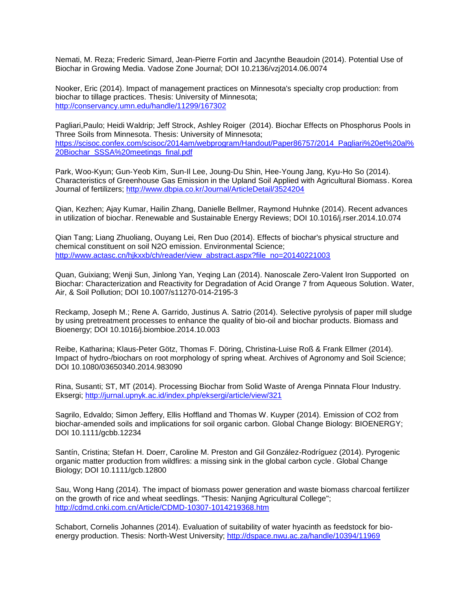Nemati, M. Reza; Frederic Simard, Jean-Pierre Fortin and Jacynthe Beaudoin (2014). Potential Use of Biochar in Growing Media. Vadose Zone Journal; DOI 10.2136/vzj2014.06.0074

Nooker, Eric (2014). Impact of management practices on Minnesota's specialty crop production: from biochar to tillage practices. Thesis: University of Minnesota; <http://conservancy.umn.edu/handle/11299/167302>

Pagliari,Paulo; Heidi Waldrip; Jeff Strock, Ashley Roiger (2014). Biochar Effects on Phosphorus Pools in Three Soils from Minnesota. Thesis: University of Minnesota; [https://scisoc.confex.com/scisoc/2014am/webprogram/Handout/Paper86757/2014\\_Pagliari%20et%20al%](https://scisoc.confex.com/scisoc/2014am/webprogram/Handout/Paper86757/2014_Pagliari%20et%20al%20Biochar_SSSA%20meetings_final.pdf) [20Biochar\\_SSSA%20meetings\\_final.pdf](https://scisoc.confex.com/scisoc/2014am/webprogram/Handout/Paper86757/2014_Pagliari%20et%20al%20Biochar_SSSA%20meetings_final.pdf)

Park, Woo-Kyun; Gun-Yeob Kim, Sun-Il Lee, Joung-Du Shin, Hee-Young Jang, Kyu-Ho So (2014). Characteristics of Greenhouse Gas Emission in the Upland Soil Applied with Agricultural Biomass. Korea Journal of fertilizers;<http://www.dbpia.co.kr/Journal/ArticleDetail/3524204>

Qian, Kezhen; Ajay Kumar, Hailin Zhang, Danielle Bellmer, Raymond Huhnke (2014). Recent advances in utilization of biochar. Renewable and Sustainable Energy Reviews; DOI 10.1016/j.rser.2014.10.074

Qian Tang; Liang Zhuoliang, Ouyang Lei, Ren Duo (2014). Effects of biochar's physical structure and chemical constituent on soil N2O emission. Environmental Science; [http://www.actasc.cn/hjkxxb/ch/reader/view\\_abstract.aspx?file\\_no=20140221003](http://www.actasc.cn/hjkxxb/ch/reader/view_abstract.aspx?file_no=20140221003)

Quan, Guixiang; Wenji Sun, Jinlong Yan, Yeqing Lan (2014). Nanoscale Zero-Valent Iron Supported on Biochar: Characterization and Reactivity for Degradation of Acid Orange 7 from Aqueous Solution. Water, Air, & Soil Pollution; DOI 10.1007/s11270-014-2195-3

Reckamp, Joseph M.; Rene A. Garrido, Justinus A. Satrio (2014). Selective pyrolysis of paper mill sludge by using pretreatment processes to enhance the quality of bio-oil and biochar products. Biomass and Bioenergy; DOI 10.1016/j.biombioe.2014.10.003

Reibe, Katharina; Klaus-Peter Götz, Thomas F. Döring, Christina-Luise Roß & Frank Ellmer (2014). Impact of hydro-/biochars on root morphology of spring wheat. Archives of Agronomy and Soil Science; DOI 10.1080/03650340.2014.983090

Rina, Susanti; ST, MT (2014). Processing Biochar from Solid Waste of Arenga Pinnata Flour Industry. Eksergi;<http://jurnal.upnyk.ac.id/index.php/eksergi/article/view/321>

Sagrilo, Edvaldo; Simon Jeffery, Ellis Hoffland and Thomas W. Kuyper (2014). Emission of CO2 from biochar-amended soils and implications for soil organic carbon. Global Change Biology: BIOENERGY; DOI 10.1111/gcbb.12234

Santín, Cristina; Stefan H. Doerr, Caroline M. Preston and Gil González-Rodríguez (2014). Pyrogenic organic matter production from wildfires: a missing sink in the global carbon cycle. Global Change Biology; DOI 10.1111/gcb.12800

Sau, Wong Hang (2014). The impact of biomass power generation and waste biomass charcoal fertilizer on the growth of rice and wheat seedlings. "Thesis: Nanjing Agricultural College"; <http://cdmd.cnki.com.cn/Article/CDMD-10307-1014219368.htm>

Schabort, Cornelis Johannes (2014). Evaluation of suitability of water hyacinth as feedstock for bioenergy production. Thesis: North-West University;<http://dspace.nwu.ac.za/handle/10394/11969>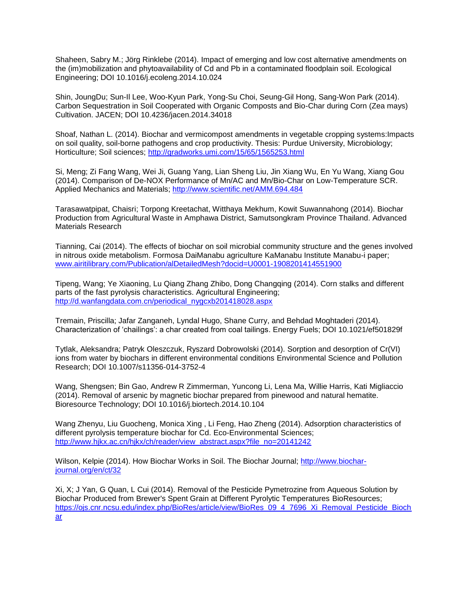Shaheen, Sabry M.; Jörg Rinklebe (2014). Impact of emerging and low cost alternative amendments on the (im)mobilization and phytoavailability of Cd and Pb in a contaminated floodplain soil. Ecological Engineering; DOI 10.1016/j.ecoleng.2014.10.024

Shin, JoungDu; Sun-Il Lee, Woo-Kyun Park, Yong-Su Choi, Seung-Gil Hong, Sang-Won Park (2014). Carbon Sequestration in Soil Cooperated with Organic Composts and Bio-Char during Corn (Zea mays) Cultivation. JACEN; DOI 10.4236/jacen.2014.34018

Shoaf, Nathan L. (2014). Biochar and vermicompost amendments in vegetable cropping systems:Impacts on soil quality, soil-borne pathogens and crop productivity. Thesis: Purdue University, Microbiology; Horticulture; Soil sciences;<http://gradworks.umi.com/15/65/1565253.html>

Si, Meng; Zi Fang Wang, Wei Ji, Guang Yang, Lian Sheng Liu, Jin Xiang Wu, En Yu Wang, Xiang Gou (2014). Comparison of De-NOX Performance of Mn/AC and Mn/Bio-Char on Low-Temperature SCR. Applied Mechanics and Materials;<http://www.scientific.net/AMM.694.484>

Tarasawatpipat, Chaisri; Torpong Kreetachat, Witthaya Mekhum, Kowit Suwannahong (2014). Biochar Production from Agricultural Waste in Amphawa District, Samutsongkram Province Thailand. Advanced Materials Research

Tianning, Cai (2014). The effects of biochar on soil microbial community structure and the genes involved in nitrous oxide metabolism. Formosa DaiManabu agriculture KaManabu Institute Manabu-i paper; [www.airitilibrary.com/Publication/alDetailedMesh?docid=U0001-1908201414551900](http://www.airitilibrary.com/Publication/alDetailedMesh?docid=U0001-1908201414551900)

Tipeng, Wang; Ye Xiaoning, Lu Qiang Zhang Zhibo, Dong Changqing (2014). Corn stalks and different parts of the fast pyrolysis characteristics. Agricultural Engineering; [http://d.wanfangdata.com.cn/periodical\\_nygcxb201418028.aspx](http://d.wanfangdata.com.cn/periodical_nygcxb201418028.aspx)

Tremain, Priscilla; Jafar Zanganeh, Lyndal Hugo, Shane Curry, and Behdad Moghtaderi (2014). Characterization of 'chailings': a char created from coal tailings. Energy Fuels; DOI 10.1021/ef501829f

Tytlak, Aleksandra; Patryk Oleszczuk, Ryszard Dobrowolski (2014). Sorption and desorption of Cr(VI) ions from water by biochars in different environmental conditions Environmental Science and Pollution Research; DOI 10.1007/s11356-014-3752-4

Wang, Shengsen; Bin Gao, Andrew R Zimmerman, Yuncong Li, Lena Ma, Willie Harris, Kati Migliaccio (2014). Removal of arsenic by magnetic biochar prepared from pinewood and natural hematite. Bioresource Technology; DOI 10.1016/j.biortech.2014.10.104

Wang Zhenyu, Liu Guocheng, Monica Xing , Li Feng, Hao Zheng (2014). Adsorption characteristics of different pyrolysis temperature biochar for Cd. Eco-Environmental Sciences; [http://www.hjkx.ac.cn/hjkx/ch/reader/view\\_abstract.aspx?file\\_no=20141242](http://www.hjkx.ac.cn/hjkx/ch/reader/view_abstract.aspx?file_no=20141242)

Wilson, Kelpie (2014). How Biochar Works in Soil. The Biochar Journal; [http://www.biochar](http://www.biochar-journal.org/en/ct/32)[journal.org/en/ct/32](http://www.biochar-journal.org/en/ct/32)

Xi, X; J Yan, G Quan, L Cui (2014). Removal of the Pesticide Pymetrozine from Aqueous Solution by Biochar Produced from Brewer's Spent Grain at Different Pyrolytic Temperatures BioResources; [https://ojs.cnr.ncsu.edu/index.php/BioRes/article/view/BioRes\\_09\\_4\\_7696\\_Xi\\_Removal\\_Pesticide\\_Bioch](https://ojs.cnr.ncsu.edu/index.php/BioRes/article/view/BioRes_09_4_7696_Xi_Removal_Pesticide_Biochar) [ar](https://ojs.cnr.ncsu.edu/index.php/BioRes/article/view/BioRes_09_4_7696_Xi_Removal_Pesticide_Biochar)